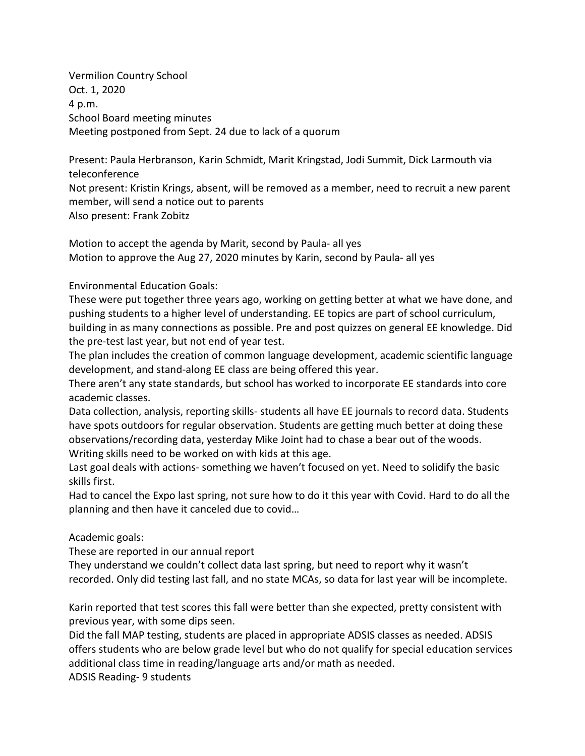Vermilion Country School Oct. 1, 2020 4 p.m. School Board meeting minutes Meeting postponed from Sept. 24 due to lack of a quorum

Present: Paula Herbranson, Karin Schmidt, Marit Kringstad, Jodi Summit, Dick Larmouth via teleconference

Not present: Kristin Krings, absent, will be removed as a member, need to recruit a new parent member, will send a notice out to parents Also present: Frank Zobitz

Motion to accept the agenda by Marit, second by Paula- all yes Motion to approve the Aug 27, 2020 minutes by Karin, second by Paula- all yes

Environmental Education Goals:

These were put together three years ago, working on getting better at what we have done, and pushing students to a higher level of understanding. EE topics are part of school curriculum, building in as many connections as possible. Pre and post quizzes on general EE knowledge. Did the pre-test last year, but not end of year test.

The plan includes the creation of common language development, academic scientific language development, and stand-along EE class are being offered this year.

There aren't any state standards, but school has worked to incorporate EE standards into core academic classes.

Data collection, analysis, reporting skills- students all have EE journals to record data. Students have spots outdoors for regular observation. Students are getting much better at doing these observations/recording data, yesterday Mike Joint had to chase a bear out of the woods. Writing skills need to be worked on with kids at this age.

Last goal deals with actions- something we haven't focused on yet. Need to solidify the basic skills first.

Had to cancel the Expo last spring, not sure how to do it this year with Covid. Hard to do all the planning and then have it canceled due to covid…

Academic goals:

These are reported in our annual report

They understand we couldn't collect data last spring, but need to report why it wasn't recorded. Only did testing last fall, and no state MCAs, so data for last year will be incomplete.

Karin reported that test scores this fall were better than she expected, pretty consistent with previous year, with some dips seen.

Did the fall MAP testing, students are placed in appropriate ADSIS classes as needed. ADSIS offers students who are below grade level but who do not qualify for special education services additional class time in reading/language arts and/or math as needed. ADSIS Reading- 9 students